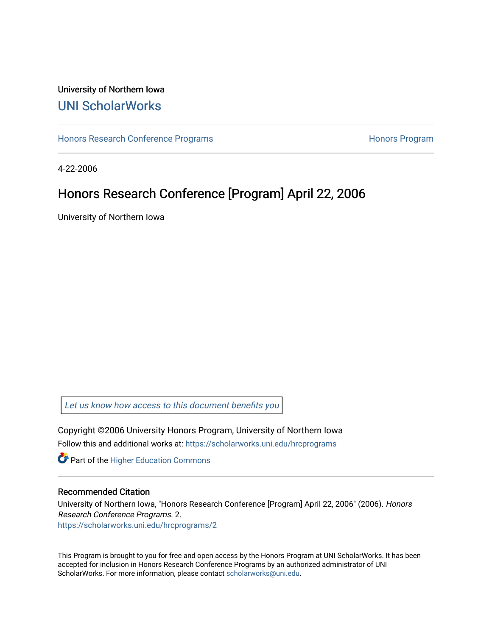## University of Northern Iowa [UNI ScholarWorks](https://scholarworks.uni.edu/)

[Honors Research Conference Programs](https://scholarworks.uni.edu/hrcprograms) **Honors Programs** Honors Program

4-22-2006

## Honors Research Conference [Program] April 22, 2006

University of Northern Iowa

[Let us know how access to this document benefits you](https://scholarworks.uni.edu/feedback_form.html) 

Copyright ©2006 University Honors Program, University of Northern Iowa Follow this and additional works at: [https://scholarworks.uni.edu/hrcprograms](https://scholarworks.uni.edu/hrcprograms?utm_source=scholarworks.uni.edu%2Fhrcprograms%2F2&utm_medium=PDF&utm_campaign=PDFCoverPages)

**Part of the Higher Education Commons** 

## Recommended Citation

University of Northern Iowa, "Honors Research Conference [Program] April 22, 2006" (2006). Honors Research Conference Programs. 2. [https://scholarworks.uni.edu/hrcprograms/2](https://scholarworks.uni.edu/hrcprograms/2?utm_source=scholarworks.uni.edu%2Fhrcprograms%2F2&utm_medium=PDF&utm_campaign=PDFCoverPages) 

This Program is brought to you for free and open access by the Honors Program at UNI ScholarWorks. It has been accepted for inclusion in Honors Research Conference Programs by an authorized administrator of UNI ScholarWorks. For more information, please contact [scholarworks@uni.edu](mailto:scholarworks@uni.edu).